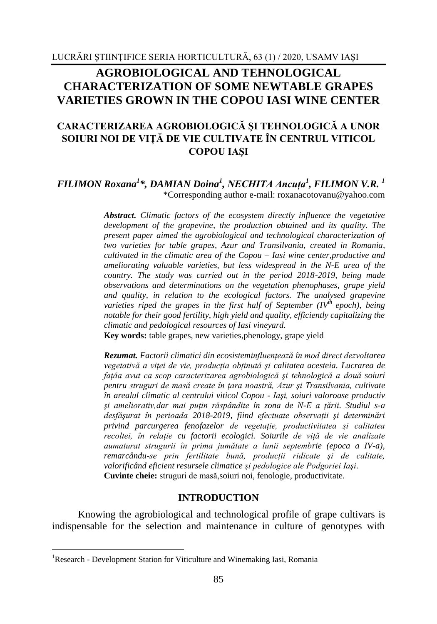# **AGROBIOLOGICAL AND TEHNOLOGICAL CHARACTERIZATION OF SOME NEWTABLE GRAPES VARIETIES GROWN IN THE COPOU IASI WINE CENTER**

# **CARACTERIZAREA AGROBIOLOGICĂ ŞI TEHNOLOGICĂ A UNOR SOIURI NOI DE VIŢĂ DE VIE CULTIVATE ÎN CENTRUL VITICOL COPOU IAŞI**

### *FILIMON Roxana<sup>1</sup> \*, DAMIAN Doina<sup>1</sup> , NECHITA Ancuţa<sup>1</sup> , FILIMON V.R. <sup>1</sup>* \*Corresponding author e-mail: roxanacotovanu@yahoo.com

*Abstract. Climatic factors of the ecosystem directly influence the vegetative development of the grapevine, the production obtained and its quality. The present paper aimed the agrobiological and technological characterization of two varieties for table grapes, Azur and Transilvania, created in Romania, cultivated in the climatic area of the Copou – Iasi wine center,productive and ameliorating valuable varieties, but less widespread in the N-E area of the country. The study was carried out in the period 2018-2019, being made observations and determinations on the vegetation phenophases, grape yield and quality, in relation to the ecological factors. The analysed grapevine varieties riped the grapes in the first half of September (IVth epoch), being notable for their good fertility, high yield and quality, efficiently capitalizing the climatic and pedological resources of Iasi vineyard.*

**Key words:** table grapes, new varieties*,*phenology, grape yield

*Rezumat. Factorii climatici din ecosisteminfluenţează în mod direct dezvoltarea vegetativă a viţei de vie, producţia obţinută şi calitatea acesteia. Lucrarea de faţăa avut ca scop caracterizarea agrobiologică şi tehnologică a două soiuri pentru struguri de masă create în ţara noastră, Azur şi Transilvania, cultivate în arealul climatic al centrului viticol Copou - Iaşi, soiuri valoroase productiv şi ameliorativ,dar mai puţin răspândite în zona de N-E a ţării. Studiul s-a desfăşurat în perioada 2018-2019, fiind efectuate observaţii şi determinări privind parcurgerea fenofazelor de vegetaţie, productivitatea şi calitatea recoltei, în relaţie cu factorii ecologici. Soiurile de viţă de vie analizate aumaturat strugurii în prima jumătate a lunii septembrie (epoca a IV-a), remarcându-se prin fertilitate bună, producţii ridicate şi de calitate, valorificând eficient resursele climatice şi pedologice ale Podgoriei Iaşi.* **Cuvinte cheie:** struguri de masă,soiuri noi, fenologie, productivitate.

### **INTRODUCTION**

Knowing the agrobiological and technological profile of grape cultivars is indispensable for the selection and maintenance in culture of genotypes with

<u>.</u>

<sup>&</sup>lt;sup>1</sup>Research - Development Station for Viticulture and Winemaking Iasi, Romania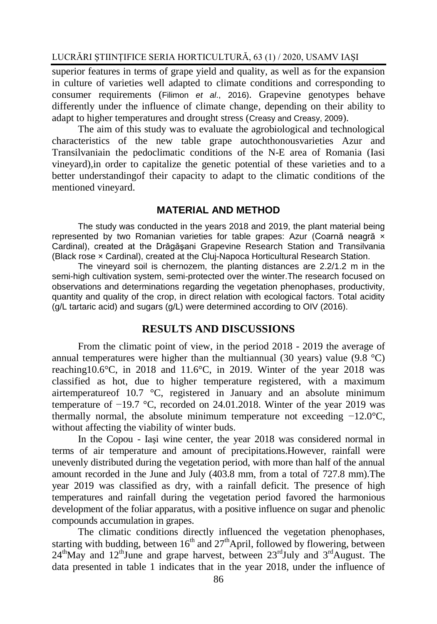LUCRĂRI ŞTIINŢIFICE SERIA HORTICULTURĂ, 63 (1) / 2020, USAMV IAŞI

superior features in terms of grape yield and quality, as well as for the expansion in culture of varieties well adapted to climate conditions and corresponding to consumer requirements (Filimon *et al*., 2016). Grapevine genotypes behave differently under the influence of climate change, depending on their ability to adapt to higher temperatures and drought stress (Creasy and Creasy, 2009).

The aim of this study was to evaluate the agrobiological and technological characteristics of the new table grape autochthonousvarieties Azur and Transilvaniain the pedoclimatic conditions of the N-E area of Romania (Iasi vineyard),in order to capitalize the genetic potential of these varieties and to a better understandingof their capacity to adapt to the climatic conditions of the mentioned vineyard.

# **MATERIAL AND METHOD**

The study was conducted in the years 2018 and 2019, the plant material being represented by two Romanian varieties for table grapes: Azur (Coarnă neagră × Cardinal), created at the Drăgăşani Grapevine Research Station and Transilvania (Black rose × Cardinal), created at the Cluj-Napoca Horticultural Research Station.

The vineyard soil is chernozem, the planting distances are 2.2/1.2 m in the semi-high cultivation system, semi-protected over the winter.The research focused on observations and determinations regarding the vegetation phenophases, productivity, quantity and quality of the crop, in direct relation with ecological factors. Total acidity (g/L tartaric acid) and sugars (g/L) were determined according to OIV (2016).

# **RESULTS AND DISCUSSIONS**

From the climatic point of view, in the period 2018 - 2019 the average of annual temperatures were higher than the multiannual (30 years) value (9.8 °C) reaching10.6°C, in 2018 and 11.6°C, in 2019. Winter of the year 2018 was classified as hot, due to higher temperature registered, with a maximum airtemperatureof 10.7 °C, registered in January and an absolute minimum temperature of −19.7 °C, recorded on 24.01.2018. Winter of the year 2019 was thermally normal, the absolute minimum temperature not exceeding −12.0°C, without affecting the viability of winter buds.

In the Copou - Iaşi wine center, the year 2018 was considered normal in terms of air temperature and amount of precipitations.However, rainfall were unevenly distributed during the vegetation period, with more than half of the annual amount recorded in the June and July (403.8 mm, from a total of 727.8 mm).The year 2019 was classified as dry, with a rainfall deficit. The presence of high temperatures and rainfall during the vegetation period favored the harmonious development of the foliar apparatus, with a positive influence on sugar and phenolic compounds accumulation in grapes.

The climatic conditions directly influenced the vegetation phenophases, starting with budding, between  $16<sup>th</sup>$  and  $27<sup>th</sup>$ April, followed by flowering, between  $24<sup>th</sup>$ May and  $12<sup>th</sup>$ June and grape harvest, between  $23<sup>rd</sup>$ July and  $3<sup>rd</sup>$ August. The data presented in table 1 indicates that in the year 2018, under the influence of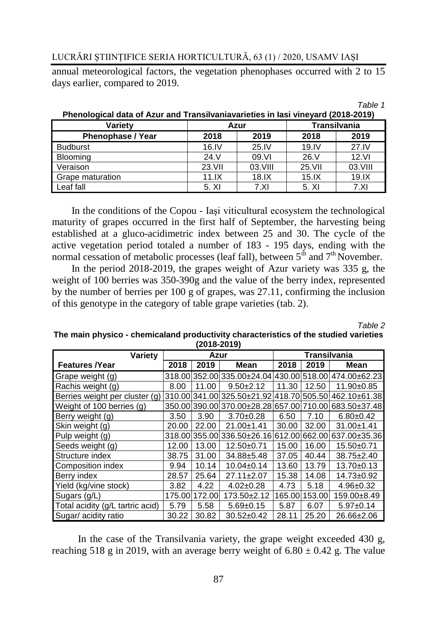# LUCRĂRI ŞTIINŢIFICE SERIA HORTICULTURĂ, 63 (1) / 2020, USAMV IAŞI

annual meteorological factors, the vegetation phenophases occurred with 2 to 15 days earlier, compared to 2019.

| Variety                  | Azur   |         | <b>Transilvania</b> |         |  |  |  |  |  |
|--------------------------|--------|---------|---------------------|---------|--|--|--|--|--|
| <b>Phenophase / Year</b> | 2018   | 2019    | 2018                | 2019    |  |  |  |  |  |
| <b>Budburst</b>          | 16.1V  | 25.1V   | 19.1V               | 27.1V   |  |  |  |  |  |
| <b>Blooming</b>          | 24. V  | 09.VI   | 26. V               | 12.VI   |  |  |  |  |  |
| Veraison                 | 23.VII | 03.VIII | 25.VII              | 03.VIII |  |  |  |  |  |
| Grape maturation         | 11.1X  | 18.1X   | 15.1X               | 19.1X   |  |  |  |  |  |
| Leaf fall                | 5. XI  | 7.XI    | 5. XI               | 7.XI    |  |  |  |  |  |

| Phenological data of Azur and Transilvaniavarieties in lasi vineyard (2018-2019) |
|----------------------------------------------------------------------------------|
|----------------------------------------------------------------------------------|

In the conditions of the Copou - Iaşi viticultural ecosystem the technological maturity of grapes occurred in the first half of September, the harvesting being established at a gluco-acidimetric index between 25 and 30. The cycle of the active vegetation period totaled a number of 183 - 195 days, ending with the normal cessation of metabolic processes (leaf fall), between  $5^{\text{th}}$  and  $7^{\text{th}}$  November.

In the period 2018-2019, the grapes weight of Azur variety was 335 g, the weight of 100 berries was 350-390g and the value of the berry index, represented by the number of berries per 100 g of grapes, was 27.11, confirming the inclusion of this genotype in the category of table grape varieties (tab. 2).

*Table 2*

*Table 1*

#### **The main physico - chemicaland productivity characteristics of the studied varieties (2018-2019)**

| Variety                          | Azur  |               |                              | <b>Transilvania</b> |               |                                                           |  |  |  |
|----------------------------------|-------|---------------|------------------------------|---------------------|---------------|-----------------------------------------------------------|--|--|--|
| <b>Features /Year</b>            | 2018  | 2019          | Mean                         | 2018                | 2019          | Mean                                                      |  |  |  |
| Grape weight (g)                 |       |               |                              |                     |               | 318.00 352.00 335.00 ± 24.04 430.00 518.00 474.00 ± 62.23 |  |  |  |
| Rachis weight (g)                | 8.00  | 11.00         | $9.50 \pm 2.12$              | 11.30               | 12.50         | 11.90±0.85                                                |  |  |  |
| Berries weight per cluster (g)   |       |               | 310.00 341.00 325.50 ± 21.92 |                     |               | 418.70 505.50 462.10±61.38                                |  |  |  |
| Weight of 100 berries (g)        |       |               |                              |                     |               | 350.00 390.00 370.00 ± 28.28 657.00 710.00 683.50 ± 37.48 |  |  |  |
| Berry weight (g)                 | 3.50  | 3.90          | $3.70+0.28$                  | 6.50                | 7.10          | $6.80 \pm 0.42$                                           |  |  |  |
| Skin weight (g)                  | 20.00 | 22.00         | $21.00 \pm 1.41$             | 30.00               | 32.00         | $31.00 \pm 1.41$                                          |  |  |  |
| Pulp weight (g)                  |       |               |                              |                     |               | 318.00 355.00 336.50± 26.16 612.00 662.00 637.00± 35.36   |  |  |  |
| Seeds weight (g)                 | 12.00 | 13.00         | $12.50+0.71$                 | 15.00               | 16.00         | 15.50±0.71                                                |  |  |  |
| Structure index                  | 38.75 | 31.00         | 34.88±5.48                   | 37.05               | 40.44         | $38.75 \pm 2.40$                                          |  |  |  |
| Composition index                | 9.94  | 10.14         | $10.04 \pm 0.14$             | 13.60               | 13.79         | $13.70 \pm 0.13$                                          |  |  |  |
| Berry index                      | 28.57 | 25.64         | $27.11 \pm 2.07$             | 15.38               | 14.08         | 14.73±0.92                                                |  |  |  |
| Yield (kg/vine stock)            | 3.82  | 4.22          | $4.02 \pm 0.28$              | 4.73                | 5.18          | $4.96 \pm 0.32$                                           |  |  |  |
| Sugars (g/L)                     |       | 175.00 172.00 | 173.50±2.12                  |                     | 165.00 153.00 | 159.00±8.49                                               |  |  |  |
| Total acidity (g/L tartric acid) | 5.79  | 5.58          | $5.69 \pm 0.15$              | 5.87                | 6.07          | $5.97+0.14$                                               |  |  |  |
| Sugar/ acidity ratio             | 30.22 | 30.82         | $30.52 \pm 0.42$             | 28.11               | 25.20         | 26.66±2.06                                                |  |  |  |

In the case of the Transilvania variety, the grape weight exceeded 430 g, reaching 518 g in 2019, with an average berry weight of 6.80  $\pm$  0.42 g. The value